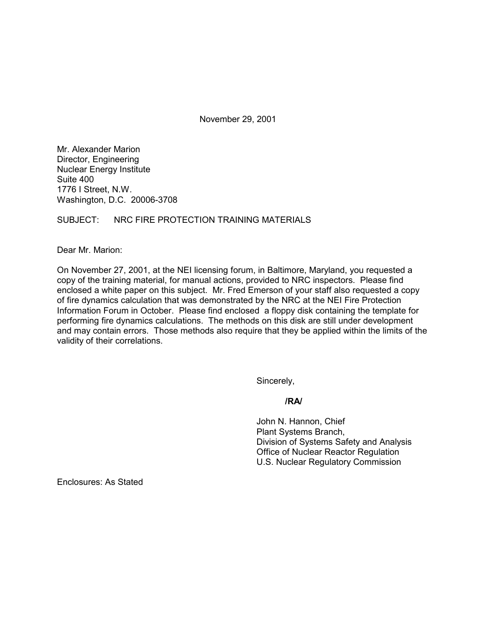November 29, 2001

Mr. Alexander Marion Director, Engineering Nuclear Energy Institute Suite 400 1776 I Street, N.W. Washington, D.C. 20006-3708

## SUBJECT: NRC FIRE PROTECTION TRAINING MATERIALS

Dear Mr. Marion:

On November 27, 2001, at the NEI licensing forum, in Baltimore, Maryland, you requested a copy of the training material, for manual actions, provided to NRC inspectors. Please find enclosed a white paper on this subject. Mr. Fred Emerson of your staff also requested a copy of fire dynamics calculation that was demonstrated by the NRC at the NEI Fire Protection Information Forum in October. Please find enclosed a floppy disk containing the template for performing fire dynamics calculations. The methods on this disk are still under development and may contain errors. Those methods also require that they be applied within the limits of the validity of their correlations.

Sincerely,

### **/RA/**

John N. Hannon, Chief Plant Systems Branch, Division of Systems Safety and Analysis Office of Nuclear Reactor Regulation U.S. Nuclear Regulatory Commission

Enclosures: As Stated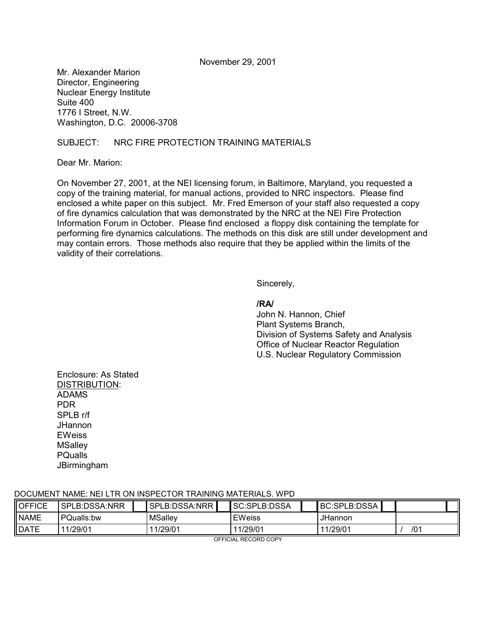November 29, 2001

Mr. Alexander Marion Director, Engineering Nuclear Energy Institute Suite 400 1776 I Street, N.W. Washington, D.C. 20006-3708

## SUBJECT: NRC FIRE PROTECTION TRAINING MATERIALS

Dear Mr. Marion:

On November 27, 2001, at the NEI licensing forum, in Baltimore, Maryland, you requested a copy of the training material, for manual actions, provided to NRC inspectors. Please find enclosed a white paper on this subject. Mr. Fred Emerson of your staff also requested a copy of fire dynamics calculation that was demonstrated by the NRC at the NEI Fire Protection Information Forum in October. Please find enclosed a floppy disk containing the template for performing fire dynamics calculations. The methods on this disk are still under development and may contain errors. Those methods also require that they be applied within the limits of the validity of their correlations.

Sincerely,

### **/RA/**

John N. Hannon, Chief Plant Systems Branch, Division of Systems Safety and Analysis Office of Nuclear Reactor Regulation U.S. Nuclear Regulatory Commission

Enclosure: As Stated DISTRIBUTION: ADAMS PDR SPLB r/f JHannon **EWeiss MSallev PQualls JBirmingham** 

### DOCUMENT NAME: NEI LTR ON INSPECTOR TRAINING MATERIALS. WPD

| <b>OFFICE</b> | SPLB:DSSA:NRR |  | SPLB:DSSA:NRR |  | SC:SPLB:DSSA  |  | <b>BC:SPLB:DSSA</b> |     |  |
|---------------|---------------|--|---------------|--|---------------|--|---------------------|-----|--|
| <b>NAME</b>   | PQualls:bw    |  | MSalley       |  | <b>EWeiss</b> |  | <b>JHannon</b>      |     |  |
| <b>DATE</b>   | 11/29/01      |  | 11/29/01      |  | 11/29/01      |  | 11/29/01            | /01 |  |

OFFICIAL RECORD COPY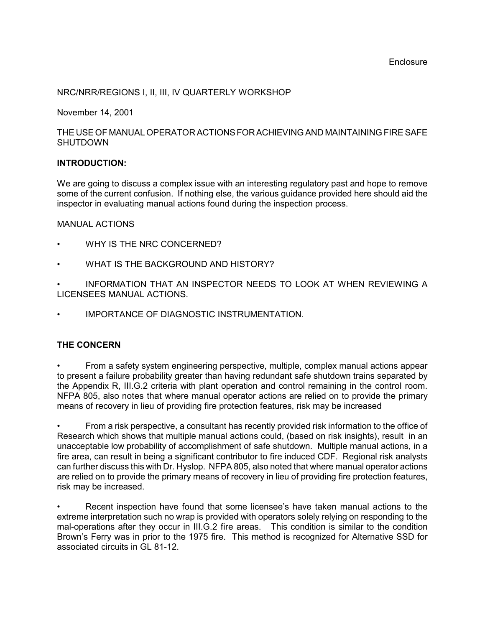## NRC/NRR/REGIONS I, II, III, IV QUARTERLY WORKSHOP

November 14, 2001

### THE USE OF MANUAL OPERATOR ACTIONS FOR ACHIEVING AND MAINTAINING FIRE SAFE **SHUTDOWN**

### **INTRODUCTION:**

We are going to discuss a complex issue with an interesting regulatory past and hope to remove some of the current confusion. If nothing else, the various guidance provided here should aid the inspector in evaluating manual actions found during the inspection process.

### MANUAL ACTIONS

- WHY IS THE NRC CONCERNED?
- WHAT IS THE BACKGROUND AND HISTORY?
- INFORMATION THAT AN INSPECTOR NEEDS TO LOOK AT WHEN REVIEWING A LICENSEES MANUAL ACTIONS.
- IMPORTANCE OF DIAGNOSTIC INSTRUMENTATION.

### **THE CONCERN**

From a safety system engineering perspective, multiple, complex manual actions appear to present a failure probability greater than having redundant safe shutdown trains separated by the Appendix R, III.G.2 criteria with plant operation and control remaining in the control room. NFPA 805, also notes that where manual operator actions are relied on to provide the primary means of recovery in lieu of providing fire protection features, risk may be increased

From a risk perspective, a consultant has recently provided risk information to the office of Research which shows that multiple manual actions could, (based on risk insights), result in an unacceptable low probability of accomplishment of safe shutdown. Multiple manual actions, in a fire area, can result in being a significant contributor to fire induced CDF. Regional risk analysts can further discuss this with Dr. Hyslop. NFPA 805, also noted that where manual operator actions are relied on to provide the primary means of recovery in lieu of providing fire protection features, risk may be increased.

Recent inspection have found that some licensee's have taken manual actions to the extreme interpretation such no wrap is provided with operators solely relying on responding to the mal-operations after they occur in III.G.2 fire areas. This condition is similar to the condition Brown's Ferry was in prior to the 1975 fire. This method is recognized for Alternative SSD for associated circuits in GL 81-12.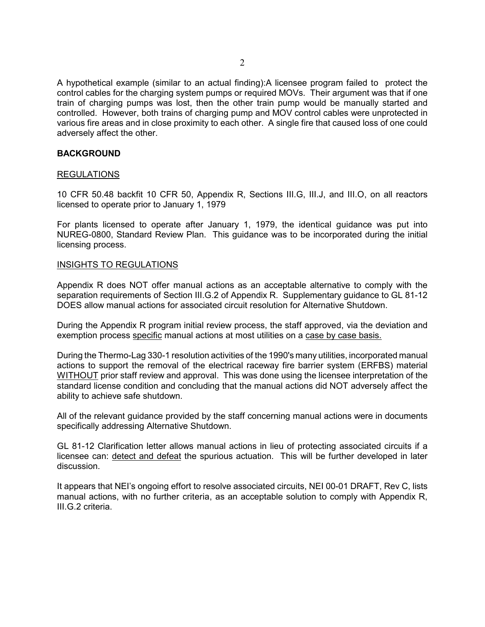A hypothetical example (similar to an actual finding):A licensee program failed to protect the control cables for the charging system pumps or required MOVs. Their argument was that if one train of charging pumps was lost, then the other train pump would be manually started and controlled. However, both trains of charging pump and MOV control cables were unprotected in various fire areas and in close proximity to each other. A single fire that caused loss of one could adversely affect the other.

### **BACKGROUND**

### REGULATIONS

10 CFR 50.48 backfit 10 CFR 50, Appendix R, Sections III.G, III.J, and III.O, on all reactors licensed to operate prior to January 1, 1979

For plants licensed to operate after January 1, 1979, the identical guidance was put into NUREG-0800, Standard Review Plan. This guidance was to be incorporated during the initial licensing process.

#### INSIGHTS TO REGULATIONS

Appendix R does NOT offer manual actions as an acceptable alternative to comply with the separation requirements of Section III.G.2 of Appendix R. Supplementary guidance to GL 81-12 DOES allow manual actions for associated circuit resolution for Alternative Shutdown.

During the Appendix R program initial review process, the staff approved, via the deviation and exemption process specific manual actions at most utilities on a case by case basis.

During the Thermo-Lag 330-1 resolution activities of the 1990's many utilities, incorporated manual actions to support the removal of the electrical raceway fire barrier system (ERFBS) material WITHOUT prior staff review and approval. This was done using the licensee interpretation of the standard license condition and concluding that the manual actions did NOT adversely affect the ability to achieve safe shutdown.

All of the relevant guidance provided by the staff concerning manual actions were in documents specifically addressing Alternative Shutdown.

GL 81-12 Clarification letter allows manual actions in lieu of protecting associated circuits if a licensee can: detect and defeat the spurious actuation. This will be further developed in later discussion.

It appears that NEIís ongoing effort to resolve associated circuits, NEI 00-01 DRAFT, Rev C, lists manual actions, with no further criteria, as an acceptable solution to comply with Appendix R, III.G.2 criteria.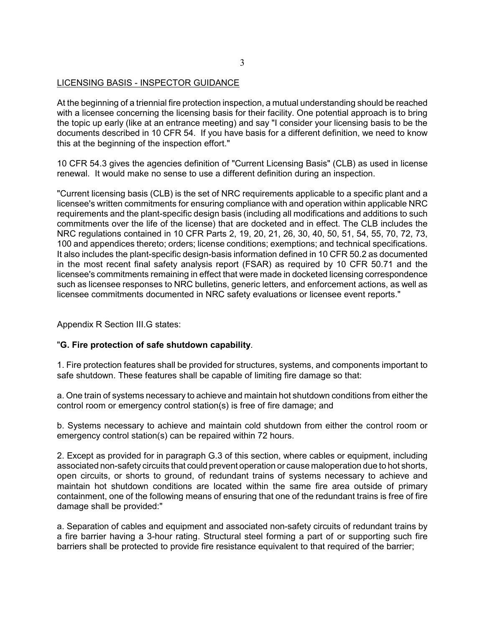## LICENSING BASIS - INSPECTOR GUIDANCE

At the beginning of a triennial fire protection inspection, a mutual understanding should be reached with a licensee concerning the licensing basis for their facility. One potential approach is to bring the topic up early (like at an entrance meeting) and say "I consider your licensing basis to be the documents described in 10 CFR 54. If you have basis for a different definition, we need to know this at the beginning of the inspection effort."

10 CFR 54.3 gives the agencies definition of "Current Licensing Basis" (CLB) as used in license renewal. It would make no sense to use a different definition during an inspection.

"Current licensing basis (CLB) is the set of NRC requirements applicable to a specific plant and a licensee's written commitments for ensuring compliance with and operation within applicable NRC requirements and the plant-specific design basis (including all modifications and additions to such commitments over the life of the license) that are docketed and in effect. The CLB includes the NRC regulations contained in 10 CFR Parts 2, 19, 20, 21, 26, 30, 40, 50, 51, 54, 55, 70, 72, 73, 100 and appendices thereto; orders; license conditions; exemptions; and technical specifications. It also includes the plant-specific design-basis information defined in 10 CFR 50.2 as documented in the most recent final safety analysis report (FSAR) as required by 10 CFR 50.71 and the licensee's commitments remaining in effect that were made in docketed licensing correspondence such as licensee responses to NRC bulletins, generic letters, and enforcement actions, as well as licensee commitments documented in NRC safety evaluations or licensee event reports."

Appendix R Section III.G states:

### "**G. Fire protection of safe shutdown capability**.

1. Fire protection features shall be provided for structures, systems, and components important to safe shutdown. These features shall be capable of limiting fire damage so that:

a. One train of systems necessary to achieve and maintain hot shutdown conditions from either the control room or emergency control station(s) is free of fire damage; and

b. Systems necessary to achieve and maintain cold shutdown from either the control room or emergency control station(s) can be repaired within 72 hours.

2. Except as provided for in paragraph G.3 of this section, where cables or equipment, including associated non-safety circuits that could prevent operation or cause maloperation due to hot shorts, open circuits, or shorts to ground, of redundant trains of systems necessary to achieve and maintain hot shutdown conditions are located within the same fire area outside of primary containment, one of the following means of ensuring that one of the redundant trains is free of fire damage shall be provided:"

a. Separation of cables and equipment and associated non-safety circuits of redundant trains by a fire barrier having a 3-hour rating. Structural steel forming a part of or supporting such fire barriers shall be protected to provide fire resistance equivalent to that required of the barrier;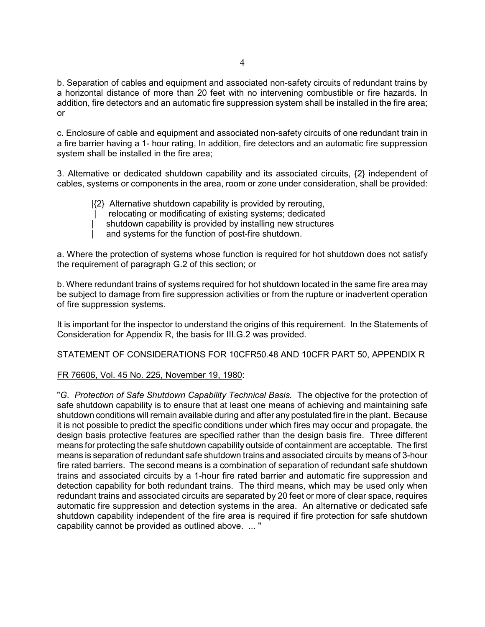b. Separation of cables and equipment and associated non-safety circuits of redundant trains by a horizontal distance of more than 20 feet with no intervening combustible or fire hazards. In addition, fire detectors and an automatic fire suppression system shall be installed in the fire area; or

c. Enclosure of cable and equipment and associated non-safety circuits of one redundant train in a fire barrier having a 1- hour rating, In addition, fire detectors and an automatic fire suppression system shall be installed in the fire area;

3. Alternative or dedicated shutdown capability and its associated circuits, {2} independent of cables, systems or components in the area, room or zone under consideration, shall be provided:

- |{2} Alternative shutdown capability is provided by rerouting,
- | relocating or modificating of existing systems; dedicated
- shutdown capability is provided by installing new structures
- and systems for the function of post-fire shutdown.

a. Where the protection of systems whose function is required for hot shutdown does not satisfy the requirement of paragraph G.2 of this section; or

b. Where redundant trains of systems required for hot shutdown located in the same fire area may be subject to damage from fire suppression activities or from the rupture or inadvertent operation of fire suppression systems.

It is important for the inspector to understand the origins of this requirement. In the Statements of Consideration for Appendix R, the basis for III.G.2 was provided.

STATEMENT OF CONSIDERATIONS FOR 10CFR50.48 AND 10CFR PART 50, APPENDIX R

### FR 76606, Vol. 45 No. 225, November 19, 1980:

"*G. Protection of Safe Shutdown Capability Technical Basis.* The objective for the protection of safe shutdown capability is to ensure that at least one means of achieving and maintaining safe shutdown conditions will remain available during and after any postulated fire in the plant. Because it is not possible to predict the specific conditions under which fires may occur and propagate, the design basis protective features are specified rather than the design basis fire. Three different means for protecting the safe shutdown capability outside of containment are acceptable. The first means is separation of redundant safe shutdown trains and associated circuits by means of 3-hour fire rated barriers. The second means is a combination of separation of redundant safe shutdown trains and associated circuits by a 1-hour fire rated barrier and automatic fire suppression and detection capability for both redundant trains. The third means, which may be used only when redundant trains and associated circuits are separated by 20 feet or more of clear space, requires automatic fire suppression and detection systems in the area. An alternative or dedicated safe shutdown capability independent of the fire area is required if fire protection for safe shutdown capability cannot be provided as outlined above. ... "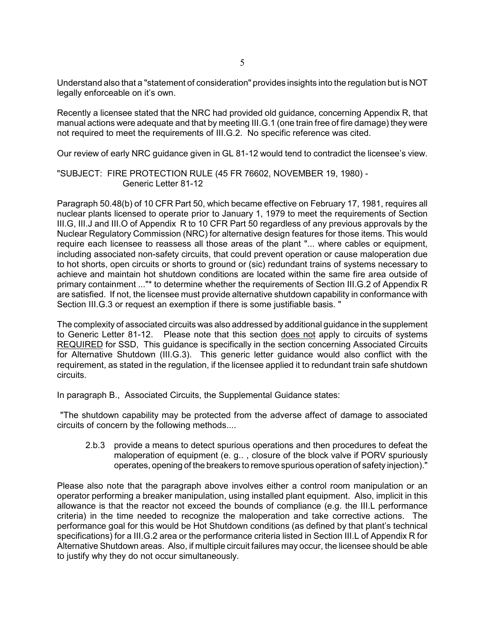Understand also that a "statement of consideration" provides insights into the regulation but is NOT legally enforceable on it's own.

Recently a licensee stated that the NRC had provided old guidance, concerning Appendix R, that manual actions were adequate and that by meeting III.G.1 (one train free of fire damage) they were not required to meet the requirements of III.G.2. No specific reference was cited.

Our review of early NRC quidance given in GL 81-12 would tend to contradict the licensee's view.

### "SUBJECT: FIRE PROTECTION RULE (45 FR 76602, NOVEMBER 19, 1980) - Generic Letter 81-12

Paragraph 50.48(b) of 10 CFR Part 50, which became effective on February 17, 1981, requires all nuclear plants licensed to operate prior to January 1, 1979 to meet the requirements of Section III.G, III.J and III.O of Appendix R to 10 CFR Part 50 regardless of any previous approvals by the Nuclear Regulatory Commission (NRC) for alternative design features for those items. This would require each licensee to reassess all those areas of the plant "... where cables or equipment, including associated non-safety circuits, that could prevent operation or cause maloperation due to hot shorts, open circuits or shorts to ground or (sic) redundant trains of systems necessary to achieve and maintain hot shutdown conditions are located within the same fire area outside of primary containment ..."\* to determine whether the requirements of Section III.G.2 of Appendix R are satisfied. If not, the licensee must provide alternative shutdown capability in conformance with Section III.G.3 or request an exemption if there is some justifiable basis. "

The complexity of associated circuits was also addressed by additional guidance in the supplement to Generic Letter 81-12. Please note that this section does not apply to circuits of systems REQUIRED for SSD, This guidance is specifically in the section concerning Associated Circuits for Alternative Shutdown (III.G.3). This generic letter guidance would also conflict with the requirement, as stated in the regulation, if the licensee applied it to redundant train safe shutdown circuits.

In paragraph B., Associated Circuits, the Supplemental Guidance states:

 "The shutdown capability may be protected from the adverse affect of damage to associated circuits of concern by the following methods....

2.b.3 provide a means to detect spurious operations and then procedures to defeat the maloperation of equipment (e. g.. , closure of the block valve if PORV spuriously operates, opening of the breakers to remove spurious operation of safety injection)."

Please also note that the paragraph above involves either a control room manipulation or an operator performing a breaker manipulation, using installed plant equipment. Also, implicit in this allowance is that the reactor not exceed the bounds of compliance (e.g. the III.L performance criteria) in the time needed to recognize the maloperation and take corrective actions. The performance goal for this would be Hot Shutdown conditions (as defined by that plant's technical specifications) for a III.G.2 area or the performance criteria listed in Section III.L of Appendix R for Alternative Shutdown areas. Also, if multiple circuit failures may occur, the licensee should be able to justify why they do not occur simultaneously.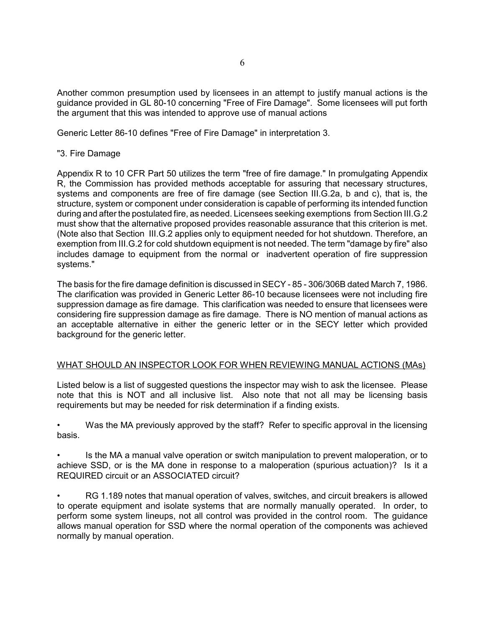Another common presumption used by licensees in an attempt to justify manual actions is the guidance provided in GL 80-10 concerning "Free of Fire Damage". Some licensees will put forth the argument that this was intended to approve use of manual actions

Generic Letter 86-10 defines "Free of Fire Damage" in interpretation 3.

## "3. Fire Damage

Appendix R to 10 CFR Part 50 utilizes the term "free of fire damage." In promulgating Appendix R, the Commission has provided methods acceptable for assuring that necessary structures, systems and components are free of fire damage (see Section III.G.2a, b and c), that is, the structure, system or component under consideration is capable of performing its intended function during and after the postulated fire, as needed. Licensees seeking exemptions from Section III.G.2 must show that the alternative proposed provides reasonable assurance that this criterion is met. (Note also that Section III.G.2 applies only to equipment needed for hot shutdown. Therefore, an exemption from III.G.2 for cold shutdown equipment is not needed. The term "damage by fire" also includes damage to equipment from the normal or inadvertent operation of fire suppression systems."

The basis for the fire damage definition is discussed in SECY - 85 - 306/306B dated March 7, 1986. The clarification was provided in Generic Letter 86-10 because licensees were not including fire suppression damage as fire damage. This clarification was needed to ensure that licensees were considering fire suppression damage as fire damage. There is NO mention of manual actions as an acceptable alternative in either the generic letter or in the SECY letter which provided background for the generic letter.

### WHAT SHOULD AN INSPECTOR LOOK FOR WHEN REVIEWING MANUAL ACTIONS (MAs)

Listed below is a list of suggested questions the inspector may wish to ask the licensee. Please note that this is NOT and all inclusive list. Also note that not all may be licensing basis requirements but may be needed for risk determination if a finding exists.

Was the MA previously approved by the staff? Refer to specific approval in the licensing basis.

Is the MA a manual valve operation or switch manipulation to prevent maloperation, or to achieve SSD, or is the MA done in response to a maloperation (spurious actuation)? Is it a REQUIRED circuit or an ASSOCIATED circuit?

RG 1.189 notes that manual operation of valves, switches, and circuit breakers is allowed to operate equipment and isolate systems that are normally manually operated. In order, to perform some system lineups, not all control was provided in the control room. The guidance allows manual operation for SSD where the normal operation of the components was achieved normally by manual operation.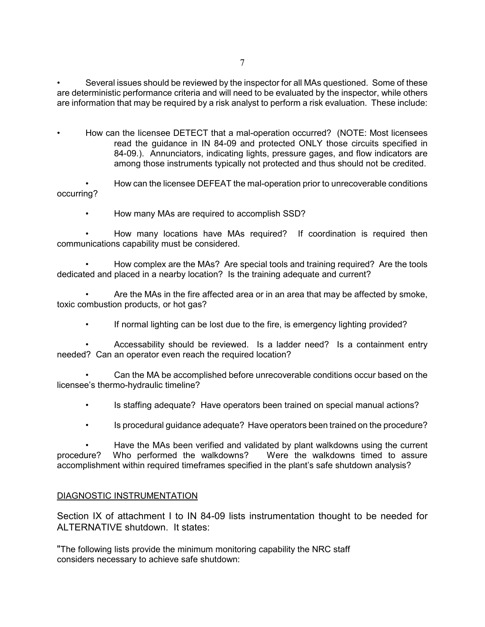Several issues should be reviewed by the inspector for all MAs questioned. Some of these are deterministic performance criteria and will need to be evaluated by the inspector, while others are information that may be required by a risk analyst to perform a risk evaluation. These include:

How can the licensee DETECT that a mal-operation occurred? (NOTE: Most licensees read the guidance in IN 84-09 and protected ONLY those circuits specified in 84-09.). Annunciators, indicating lights, pressure gages, and flow indicators are among those instruments typically not protected and thus should not be credited.

How can the licensee DEFEAT the mal-operation prior to unrecoverable conditions occurring?

• How many MAs are required to accomplish SSD?

How many locations have MAs required? If coordination is required then communications capability must be considered.

How complex are the MAs? Are special tools and training required? Are the tools dedicated and placed in a nearby location? Is the training adequate and current?

Are the MAs in the fire affected area or in an area that may be affected by smoke, toxic combustion products, or hot gas?

• If normal lighting can be lost due to the fire, is emergency lighting provided?

Accessability should be reviewed. Is a ladder need? Is a containment entry needed? Can an operator even reach the required location?

Can the MA be accomplished before unrecoverable conditions occur based on the licensee's thermo-hydraulic timeline?

- **i** Is staffing adequate? Have operators been trained on special manual actions?
- **is procedural guidance adequate? Have operators been trained on the procedure?**

Have the MAs been verified and validated by plant walkdowns using the current procedure? Who performed the walkdowns? Were the walkdowns timed to assure accomplishment within required timeframes specified in the plant's safe shutdown analysis?

### DIAGNOSTIC INSTRUMENTATION

Section IX of attachment I to IN 84-09 lists instrumentation thought to be needed for ALTERNATIVE shutdown. It states:

"The following lists provide the minimum monitoring capability the NRC staff considers necessary to achieve safe shutdown: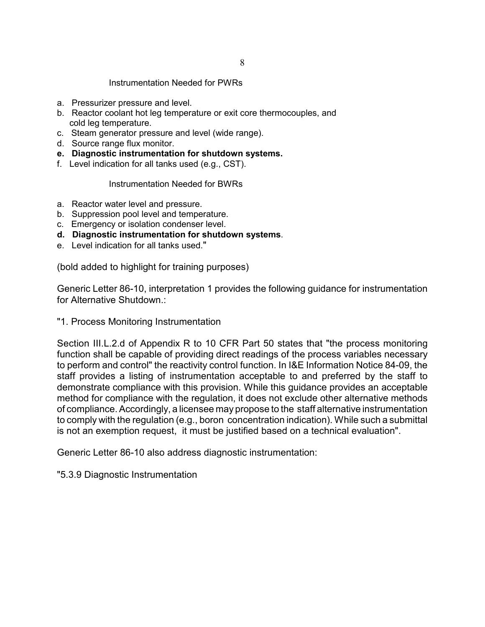#### Instrumentation Needed for PWRs

- a. Pressurizer pressure and level.
- b. Reactor coolant hot leg temperature or exit core thermocouples, and cold leg temperature.
- c. Steam generator pressure and level (wide range).
- d. Source range flux monitor.
- **e. Diagnostic instrumentation for shutdown systems.**
- f. Level indication for all tanks used (e.g., CST).

#### Instrumentation Needed for BWRs

- a. Reactor water level and pressure.
- b. Suppression pool level and temperature.
- c. Emergency or isolation condenser level.
- **d. Diagnostic instrumentation for shutdown systems**.
- e. Level indication for all tanks used."

(bold added to highlight for training purposes)

Generic Letter 86-10, interpretation 1 provides the following guidance for instrumentation for Alternative Shutdown.:

"1. Process Monitoring Instrumentation

Section III.L.2.d of Appendix R to 10 CFR Part 50 states that "the process monitoring function shall be capable of providing direct readings of the process variables necessary to perform and control" the reactivity control function. In I&E Information Notice 84-09, the staff provides a listing of instrumentation acceptable to and preferred by the staff to demonstrate compliance with this provision. While this guidance provides an acceptable method for compliance with the regulation, it does not exclude other alternative methods of compliance. Accordingly, a licensee may propose to the staff alternative instrumentation to comply with the regulation (e.g., boron concentration indication). While such a submittal is not an exemption request, it must be justified based on a technical evaluation".

Generic Letter 86-10 also address diagnostic instrumentation:

"5.3.9 Diagnostic Instrumentation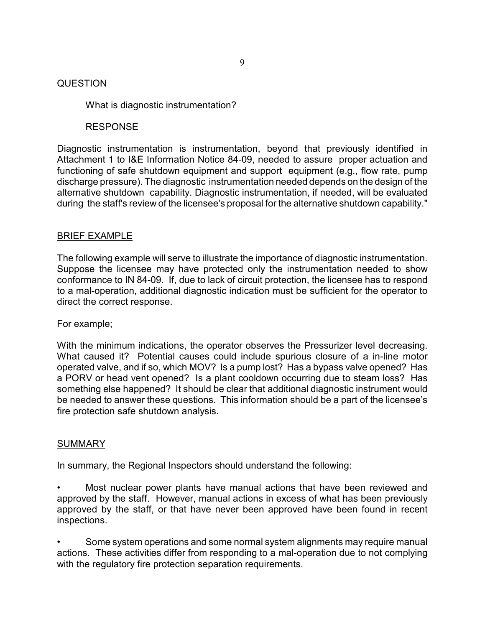## **QUESTION**

What is diagnostic instrumentation?

## RESPONSE

Diagnostic instrumentation is instrumentation, beyond that previously identified in Attachment 1 to I&E Information Notice 84-09, needed to assure proper actuation and functioning of safe shutdown equipment and support equipment (e.g., flow rate, pump discharge pressure). The diagnostic instrumentation needed depends on the design of the alternative shutdown capability. Diagnostic instrumentation, if needed, will be evaluated during the staff's review of the licensee's proposal for the alternative shutdown capability."

## BRIEF EXAMPLE

The following example will serve to illustrate the importance of diagnostic instrumentation. Suppose the licensee may have protected only the instrumentation needed to show conformance to IN 84-09. If, due to lack of circuit protection, the licensee has to respond to a mal-operation, additional diagnostic indication must be sufficient for the operator to direct the correct response.

## For example;

With the minimum indications, the operator observes the Pressurizer level decreasing. What caused it? Potential causes could include spurious closure of a in-line motor operated valve, and if so, which MOV? Is a pump lost? Has a bypass valve opened? Has a PORV or head vent opened? Is a plant cooldown occurring due to steam loss? Has something else happened? It should be clear that additional diagnostic instrument would be needed to answer these questions. This information should be a part of the licensee's fire protection safe shutdown analysis.

## SUMMARY

In summary, the Regional Inspectors should understand the following:

- Most nuclear power plants have manual actions that have been reviewed and approved by the staff. However, manual actions in excess of what has been previously approved by the staff, or that have never been approved have been found in recent inspections.
- Some system operations and some normal system alignments may require manual actions. These activities differ from responding to a mal-operation due to not complying with the regulatory fire protection separation requirements.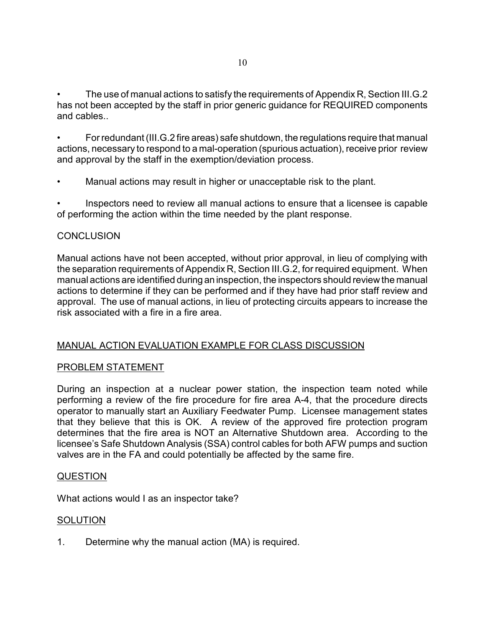The use of manual actions to satisfy the requirements of Appendix R, Section III.G.2 has not been accepted by the staff in prior generic guidance for REQUIRED components and cables..

For redundant (III.G.2 fire areas) safe shutdown, the regulations require that manual actions, necessary to respond to a mal-operation (spurious actuation), receive prior review and approval by the staff in the exemption/deviation process.

Manual actions may result in higher or unacceptable risk to the plant.

Inspectors need to review all manual actions to ensure that a licensee is capable of performing the action within the time needed by the plant response.

## **CONCLUSION**

Manual actions have not been accepted, without prior approval, in lieu of complying with the separation requirements of Appendix R, Section III.G.2, for required equipment. When manual actions are identified during an inspection, the inspectors should review the manual actions to determine if they can be performed and if they have had prior staff review and approval. The use of manual actions, in lieu of protecting circuits appears to increase the risk associated with a fire in a fire area.

# MANUAL ACTION EVALUATION EXAMPLE FOR CLASS DISCUSSION

# PROBLEM STATEMENT

During an inspection at a nuclear power station, the inspection team noted while performing a review of the fire procedure for fire area A-4, that the procedure directs operator to manually start an Auxiliary Feedwater Pump. Licensee management states that they believe that this is OK. A review of the approved fire protection program determines that the fire area is NOT an Alternative Shutdown area. According to the licensee's Safe Shutdown Analysis (SSA) control cables for both AFW pumps and suction valves are in the FA and could potentially be affected by the same fire.

# QUESTION

What actions would I as an inspector take?

# **SOLUTION**

1. Determine why the manual action (MA) is required.